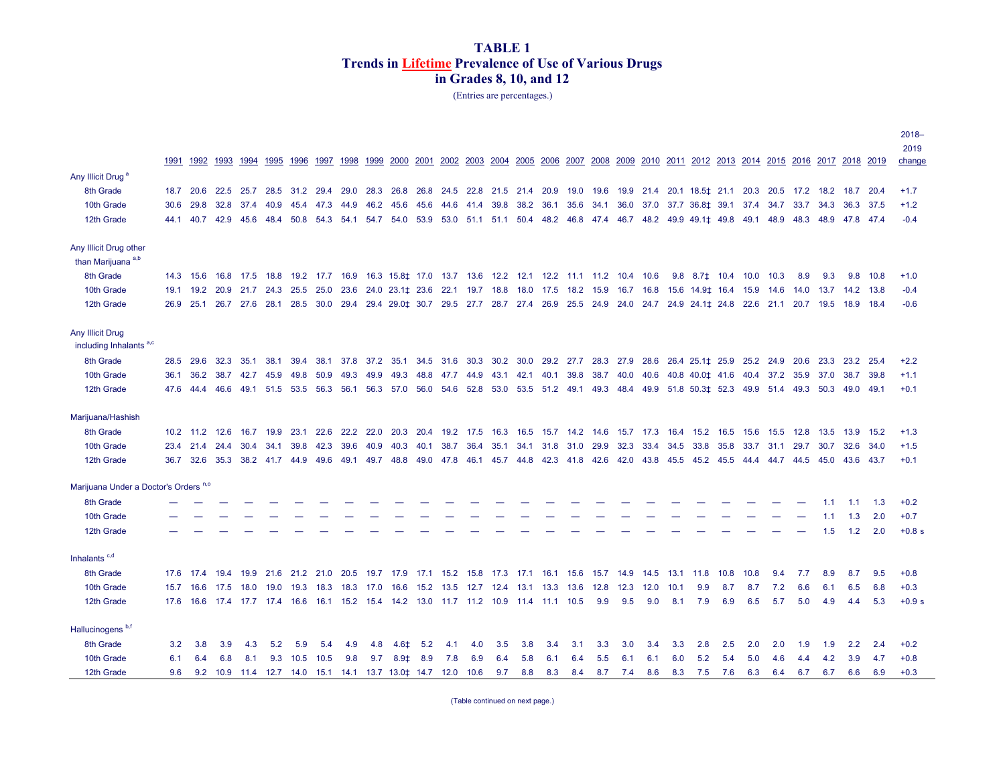(Entries are percentages.)

|                                                  |      |                                                                                           |                  |                          |           |      |           |                                                                                                          |      |                                       |      |           |           |           |                               |     |                |      |                |           |      |                                                                          |      |      |                |                                                                             |      |                             |      | $2018 -$         |
|--------------------------------------------------|------|-------------------------------------------------------------------------------------------|------------------|--------------------------|-----------|------|-----------|----------------------------------------------------------------------------------------------------------|------|---------------------------------------|------|-----------|-----------|-----------|-------------------------------|-----|----------------|------|----------------|-----------|------|--------------------------------------------------------------------------|------|------|----------------|-----------------------------------------------------------------------------|------|-----------------------------|------|------------------|
|                                                  |      |                                                                                           |                  |                          |           |      |           |                                                                                                          |      |                                       |      |           |           |           |                               |     |                |      |                |           |      |                                                                          |      |      |                |                                                                             |      |                             |      | 2019             |
|                                                  | 1991 | 1992                                                                                      | 1993             | 1994                     | 1995      | 1996 | 1997      | 1998                                                                                                     | 1999 | 2000                                  | 2001 | 2002      | 2003      | 2004      | 2005 2006                     |     | 2007           | 2008 | 2009           |           |      | 2010 2011 2012 2013                                                      |      |      |                | 2014 2015 2016                                                              |      | 2017 2018 2019              |      | change           |
| Any Illicit Drug <sup>a</sup>                    |      |                                                                                           |                  |                          |           |      |           |                                                                                                          |      |                                       |      |           |           |           |                               |     |                |      |                |           |      |                                                                          |      |      |                |                                                                             |      |                             |      |                  |
| 8th Grade                                        | 18.7 | 20.6                                                                                      | 22.5             | 25.7                     | 28.5      | 31.2 | 29.4      | 29.0                                                                                                     | 28.3 | 26.8                                  | 26.8 |           |           |           | 24.5 22.8 21.5 21.4 20.9      |     | 19.0           | 19.6 |                |           |      | 19.9 21.4 20.1 18.5 ‡21.1                                                |      | 20.3 |                | 20.5 17.2                                                                   | 18.2 | 18.7 20.4                   |      | $+1.7$           |
| 10th Grade                                       | 30.6 | 29.8                                                                                      | 32.8             | 37.4                     | 40.9      | 45.4 | 47.3      | 44.9                                                                                                     |      | 46.2 45.6 45.6                        |      | 44.6      | 41.4      |           |                               |     |                |      |                |           |      |                                                                          |      |      |                | 39.8 38.2 36.1 35.6 34.1 36.0 37.0 37.7 36.8 $\pm$ 39.1 37.4 34.7 33.7 34.3 |      | 36.3 37.5                   |      | $+1.2$           |
| 12th Grade                                       | 44.1 |                                                                                           |                  | 40.7 42.9 45.6           | 48.4      | 50.8 | 54.3      | 54.1                                                                                                     | 54.7 | 54.0                                  | 53.9 | 53.0      | 51.1 51.1 |           |                               |     |                |      |                |           |      | 50.4 48.2 46.8 47.4 46.7 48.2 49.9 49.1  49.8                            |      |      | 49.1 48.9 48.3 |                                                                             | 48.9 | 47.8 47.4                   |      | $-0.4$           |
| Any Illicit Drug other                           |      |                                                                                           |                  |                          |           |      |           |                                                                                                          |      |                                       |      |           |           |           |                               |     |                |      |                |           |      |                                                                          |      |      |                |                                                                             |      |                             |      |                  |
| than Marijuana <sup>a,b</sup>                    |      |                                                                                           |                  |                          |           |      |           |                                                                                                          |      |                                       |      |           |           |           |                               |     |                |      |                |           |      |                                                                          |      |      |                |                                                                             |      |                             |      |                  |
| 8th Grade                                        |      | 14.3 15.6                                                                                 |                  | 16.8 17.5                |           |      |           | 18.8 19.2 17.7 16.9 16.3 15.8    17.0 13.7 13.6 12.2 12.1 12.2 11.1 11.2 10.4 10.6                       |      |                                       |      |           |           |           |                               |     |                |      |                |           |      | $9.8$ $8.7\pm$ 10.4                                                      |      | 10.0 | 10.3           | 8.9                                                                         | 9.3  | 9.8                         | 10.8 | $+1.0$           |
| 10th Grade                                       | 19.1 | 19.2                                                                                      |                  | 20.9 21.7 24.3 25.5 25.0 |           |      |           | 23.6                                                                                                     |      | 24.0 23.1   23.6   22.1   19.7   18.8 |      |           |           |           | 18.0                          |     | 17.5 18.2 15.9 |      | 16.7 16.8      |           |      | 15.6 14.9 ‡ 16.4                                                         |      | 15.9 | 14.6           | 14.0                                                                        | 13.7 | 14.2 13.8                   |      | $-0.4$           |
| 12th Grade                                       |      | 26.9 25.1                                                                                 |                  | 26.7 27.6                | 28.1      |      |           | 28.5 30.0 29.4 29.4 29.0 30.7 29.5 27.7 28.7 27.4 26.9 25.5 24.9 24.0 24.7 24.9 24.1 24.8                |      |                                       |      |           |           |           |                               |     |                |      |                |           |      |                                                                          |      |      | 22.6 21.1 20.7 |                                                                             | 19.5 | 18.9 18.4                   |      | $-0.6$           |
| Any Illicit Drug                                 |      |                                                                                           |                  |                          |           |      |           |                                                                                                          |      |                                       |      |           |           |           |                               |     |                |      |                |           |      |                                                                          |      |      |                |                                                                             |      |                             |      |                  |
| including Inhalants <sup>a,c</sup>               |      |                                                                                           |                  |                          |           |      |           |                                                                                                          |      |                                       |      |           |           |           |                               |     |                |      |                |           |      |                                                                          |      |      |                |                                                                             |      |                             |      |                  |
| 8th Grade                                        | 28.5 | 29.6                                                                                      | 32.3             | 35.1                     | 38.1      | 39.4 | 38.1      | 37.8                                                                                                     |      | 37.2 35.1                             |      | 34.5 31.6 |           | 30.3 30.2 | 30.0                          |     | 29.2 27.7      |      |                |           |      | 28.3 27.9 28.6 26.4 25.1 ‡25.9                                           |      |      | 25.2 24.9 20.6 |                                                                             | 23.3 | 23.2 25.4                   |      | $+2.2$           |
| 10th Grade                                       | 36.1 | 36.2                                                                                      |                  | 38.7 42.7                | 45.9      | 49.8 | 50.9      | 49.3                                                                                                     | 49.9 | 49.3                                  | 48.8 | 47.7 44.9 |           |           | 43.1 42.1 40.1 39.8           |     |                |      | 38.7 40.0 40.6 |           |      | 40.8 40.0   41.6                                                         |      |      | 40.4 37.2 35.9 |                                                                             | 37.0 | 38.7 39.8                   |      | $+1.1$           |
| 12th Grade                                       | 47.6 | 44.4 46.6                                                                                 |                  |                          | 49.1 51.5 | 53.5 | 56.3      | 56.1                                                                                                     |      | 56.3 57.0                             | 56.0 | 54.6      | 52.8      | 53.0      |                               |     |                |      |                |           |      | 53.5 51.2 49.1 49.3 48.4 49.9 51.8 50.3 ‡ 52.3                           |      | 49.9 | 51.4 49.3      |                                                                             |      | 50.3 49.0 49.1              |      | $+0.1$           |
|                                                  |      |                                                                                           |                  |                          |           |      |           |                                                                                                          |      |                                       |      |           |           |           |                               |     |                |      |                |           |      |                                                                          |      |      |                |                                                                             |      |                             |      |                  |
| Marijuana/Hashish<br>8th Grade                   |      |                                                                                           |                  |                          |           |      |           |                                                                                                          |      |                                       |      |           |           |           |                               |     |                |      |                |           |      |                                                                          |      |      |                |                                                                             |      |                             |      |                  |
|                                                  |      | 10.2 11.2 12.6 16.7 19.9                                                                  |                  |                          |           |      |           | 23.1 22.6 22.2 22.0 20.3 20.4 19.2 17.5 16.3 16.5 15.7 14.2 14.6 15.7 17.3 16.4 15.2 16.5 15.6 15.5 12.8 |      |                                       |      |           |           |           |                               |     |                |      |                |           |      |                                                                          |      |      |                |                                                                             |      | 13.5 13.9 15.2              |      | $+1.3$           |
| 10th Grade<br>12th Grade                         | 23.4 | 21.4<br>36.7 32.6 35.3 38.2 41.7 44.9                                                     | 24.4             | 30.4                     | 34.1      | 39.8 | 42.3      | 39.6<br>49.6 49.1 49.7 48.8 49.0 47.8                                                                    | 40.9 | 40.3                                  | 40.1 | 38.7      | 36.4      | 35.1      |                               |     | 34.1 31.8 31.0 | 29.9 |                | 32.3 33.4 |      | 34.5 33.8 35.8<br>46.1 45.7 44.8 42.3 41.8 42.6 42.0 43.8 45.5 45.2 45.5 |      |      | 33.7 31.1 29.7 |                                                                             | 30.7 | 32.6 34.0<br>45.0 43.6 43.7 |      | $+1.5$<br>$+0.1$ |
|                                                  |      |                                                                                           |                  |                          |           |      |           |                                                                                                          |      |                                       |      |           |           |           |                               |     |                |      |                |           |      |                                                                          |      |      | 44.4 44.7 44.5 |                                                                             |      |                             |      |                  |
| Marijuana Under a Doctor's Orders <sup>n,o</sup> |      |                                                                                           |                  |                          |           |      |           |                                                                                                          |      |                                       |      |           |           |           |                               |     |                |      |                |           |      |                                                                          |      |      |                |                                                                             |      |                             |      |                  |
| 8th Grade                                        |      |                                                                                           |                  |                          |           |      |           |                                                                                                          |      |                                       |      |           |           |           |                               |     |                |      |                |           |      |                                                                          |      |      |                |                                                                             | 1.1  | 1.1                         | 1.3  | $+0.2$           |
| 10th Grade                                       |      |                                                                                           |                  |                          |           |      |           |                                                                                                          |      |                                       |      |           |           |           |                               |     |                |      |                |           |      |                                                                          |      |      |                |                                                                             | 1.1  | 1.3                         | 2.0  | $+0.7$           |
| 12th Grade                                       |      |                                                                                           |                  |                          |           |      |           |                                                                                                          |      |                                       |      |           |           |           |                               |     |                |      |                |           |      |                                                                          |      |      |                |                                                                             | 1.5  | 1.2                         | 2.0  | $+0.8 s$         |
| Inhalants $c,d$                                  |      |                                                                                           |                  |                          |           |      |           |                                                                                                          |      |                                       |      |           |           |           |                               |     |                |      |                |           |      |                                                                          |      |      |                |                                                                             |      |                             |      |                  |
| 8th Grade                                        | 17.6 | 17.4 19.4 19.9                                                                            |                  |                          | 21.6      |      | 21.2 21.0 | 20.5 19.7                                                                                                |      | 17.9                                  | 17.1 |           |           |           | 15.2 15.8 17.3 17.1 16.1 15.6 |     |                | 15.7 | 14.9           | 14.5      | 13.1 | 11.8                                                                     | 10.8 | 10.8 | 9.4            | 7.7                                                                         | 8.9  | 8.7                         | 9.5  | $+0.8$           |
| 10th Grade                                       |      | 15.7 16.6 17.5 18.0 19.0 19.3 18.3 18.3 17.0 16.6 15.2 13.5 12.7 12.4 13.1 13.3 13.6 12.8 |                  |                          |           |      |           |                                                                                                          |      |                                       |      |           |           |           |                               |     |                |      | 12.3           | 12.0      | 10.1 | 9.9                                                                      | 8.7  | 8.7  | 7.2            | 6.6                                                                         | 6.1  | 6.5                         | 6.8  | $+0.3$           |
| 12th Grade                                       |      | 17.6 16.6 17.4 17.7 17.4 16.6 16.1 15.2 15.4 14.2 13.0 11.7 11.2 10.9 11.4 11.1 10.5      |                  |                          |           |      |           |                                                                                                          |      |                                       |      |           |           |           |                               |     |                | 9.9  | 9.5            | 9.0       | 8.1  | 7.9                                                                      | 6.9  | 6.5  | 5.7            | 5.0                                                                         | 4.9  | 4.4                         | 5.3  | $+0.9 s$         |
| Hallucinogens <sup>b,f</sup>                     |      |                                                                                           |                  |                          |           |      |           |                                                                                                          |      |                                       |      |           |           |           |                               |     |                |      |                |           |      |                                                                          |      |      |                |                                                                             |      |                             |      |                  |
| 8th Grade                                        | 3.2  | 3.8                                                                                       | 3.9              | 4.3                      | 5.2       | 5.9  | 5.4       | 4.9                                                                                                      | 4.8  | 4.6 <sup>‡</sup>                      | 5.2  | 4.1       | 4.0       | 3.5       | 3.8                           | 3.4 | 3.1            | 3.3  | 3.0            | 3.4       | 3.3  | 2.8                                                                      | 2.5  | 2.0  | 2.0            | 1.9                                                                         | 1.9  | 2.2                         | 2.4  | $+0.2$           |
| 10th Grade                                       | 6.1  | 6.4                                                                                       | 6.8              | 8.1                      | 9.3       | 10.5 | 10.5      | 9.8                                                                                                      | 9.7  | $8.9+$                                | 8.9  | 7.8       | 6.9       | 6.4       | 5.8                           | 6.1 | 6.4            | 5.5  | 6.1            | 6.1       | 6.0  | 5.2                                                                      | 5.4  | 5.0  | 4.6            | 4.4                                                                         | 4.2  | 3.9                         | 4.7  | $+0.8$           |
| 12th Grade                                       | 9.6  |                                                                                           | $9.2 \quad 10.9$ |                          |           |      |           | 11.4 12.7 14.0 15.1 14.1 13.7 13.0 ‡14.7 12.0                                                            |      |                                       |      |           | 10.6      | 9.7       | 8.8                           | 8.3 | 8.4            | 8.7  | 7.4            | 8.6       | 8.3  | 7.5                                                                      | 7.6  | 6.3  | 6.4            | 6.7                                                                         | 6.7  | 6.6                         | 6.9  | $+0.3$           |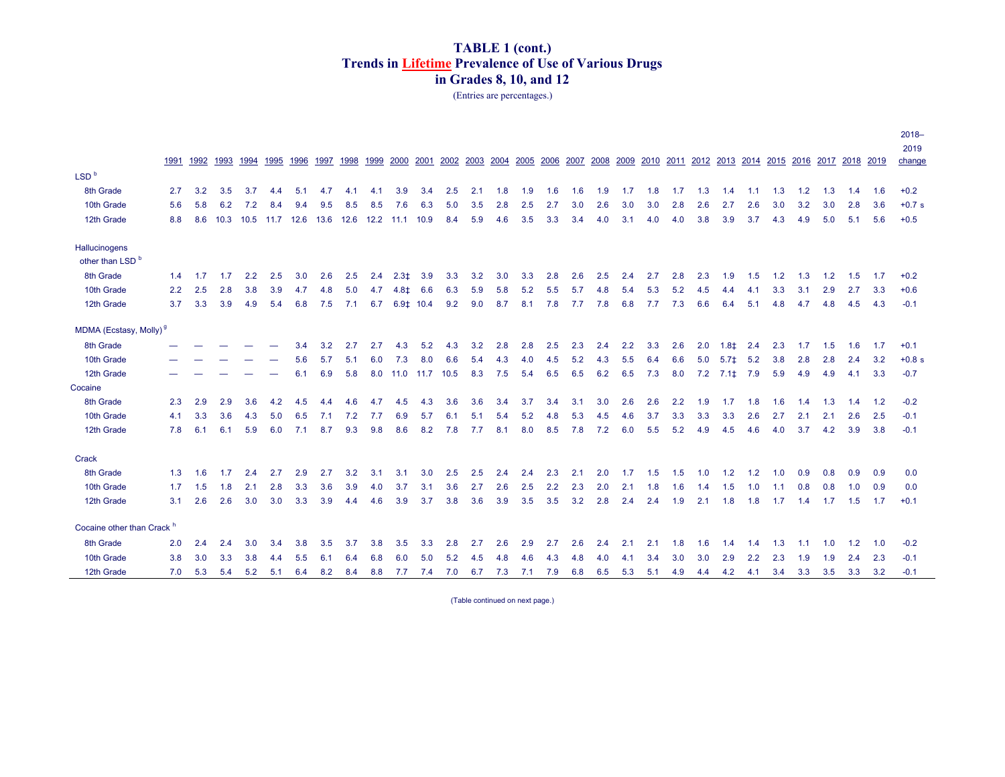(Entries are percentages.)

|                                    |               |      |      |      |      |      |      |      |      |                |      |      |      |      |      |      |      |      |      |      |      |     |        |               |                          |     |      |      |      | $2018 -$<br>2019 |
|------------------------------------|---------------|------|------|------|------|------|------|------|------|----------------|------|------|------|------|------|------|------|------|------|------|------|-----|--------|---------------|--------------------------|-----|------|------|------|------------------|
|                                    | 1991          | 1992 | 1993 | 1994 | 1995 | 1996 | 1997 | 1998 | 1999 | 2000           | 2001 | 2002 | 2003 | 2004 | 2005 | 2006 | 2007 | 2008 | 2009 | 2010 | 2011 |     |        |               | 2012 2013 2014 2015 2016 |     | 2017 | 2018 | 2019 | change           |
| LSD <sup>b</sup>                   |               |      |      |      |      |      |      |      |      |                |      |      |      |      |      |      |      |      |      |      |      |     |        |               |                          |     |      |      |      |                  |
| 8th Grade                          | 2.7           | 3.2  | 3.5  | 3.7  | 4.4  | 5.1  | 4.7  | 4.1  | 4.1  | 3.9            | 3.4  | 2.5  | 2.1  | 1.8  | 1.9  | 1.6  | 1.6  | 1.9  | 1.7  | 1.8  | 1.7  | 1.3 | 1.4    | 1.1           | 1.3                      | 1.2 | 1.3  | 1.4  | 1.6  | $+0.2$           |
| 10th Grade                         | 5.6           | 5.8  | 6.2  | 7.2  | 8.4  | 9.4  | 9.5  | 8.5  | 8.5  | 7.6            | 6.3  | 5.0  | 3.5  | 2.8  | 2.5  | 2.7  | 3.0  | 2.6  | 3.0  | 3.0  | 2.8  | 2.6 | 2.7    | 2.6           | 3.0                      | 3.2 | 3.0  | 2.8  | 3.6  | $+0.7 s$         |
| 12th Grade                         | 8.8           | 8.6  | 10.3 | 10.5 | 11.7 | 12.6 | 13.6 | 12.6 | 12.2 | 11.1           | 10.9 | 8.4  | 5.9  | 4.6  | 3.5  | 3.3  | 3.4  | 4.0  | 3.1  | 4.0  | 4.0  | 3.8 | 3.9    | 3.7           | 4.3                      | 4.9 | 5.0  | 5.1  | 5.6  | $+0.5$           |
| Hallucinogens                      |               |      |      |      |      |      |      |      |      |                |      |      |      |      |      |      |      |      |      |      |      |     |        |               |                          |     |      |      |      |                  |
| other than LSD <sup>b</sup>        |               |      |      |      |      |      |      |      |      |                |      |      |      |      |      |      |      |      |      |      |      |     |        |               |                          |     |      |      |      |                  |
| 8th Grade                          | 1.4           | 1.7  | 1.7  | 2.2  | 2.5  | 3.0  | 2.6  | 2.5  | 2.4  | $2.3+$         | 3.9  | 3.3  | 3.2  | 3.0  | 3.3  | 2.8  | 2.6  | 2.5  | 2.4  | 2.7  | 2.8  | 2.3 | 1.9    | 1.5           | 1.2                      | 1.3 | 1.2  | 1.5  | 1.7  | $+0.2$           |
| 10th Grade                         | $2.2^{\circ}$ | 2.5  | 2.8  | 3.8  | 3.9  | 4.7  | 4.8  | 5.0  | 4.7  | 4.8‡           | 6.6  | 6.3  | 5.9  | 5.8  | 5.2  | 5.5  | 5.7  | 4.8  | 5.4  | 5.3  | 5.2  | 4.5 | 4.4    | 4.1           | 3.3                      | 3.1 | 2.9  | 2.7  | 3.3  | $+0.6$           |
| 12th Grade                         | 3.7           | 3.3  | 3.9  | 4.9  | 5.4  | 6.8  | 7.5  | 7.1  | 6.7  | $6.9 \pm 10.4$ |      | 9.2  | 9.0  | 8.7  | 8.1  | 7.8  | 7.7  | 7.8  | 6.8  | 7.7  | 7.3  | 6.6 | 6.4    | 5.1           | 4.8                      | 4.7 | 4.8  | 4.5  | 4.3  | $-0.1$           |
| MDMA (Ecstasy, Molly) <sup>9</sup> |               |      |      |      |      |      |      |      |      |                |      |      |      |      |      |      |      |      |      |      |      |     |        |               |                          |     |      |      |      |                  |
| 8th Grade                          |               |      |      |      |      | 3.4  | 3.2  | 2.7  | 2.7  | 4.3            | 5.2  | 4.3  | 3.2  | 2.8  | 2.8  | 2.5  | 2.3  | 2.4  | 2.2  | 3.3  | 2.6  | 2.0 | $1.8+$ | 2.4           | 2.3                      | 1.7 | 1.5  | 1.6  | 1.7  | $+0.1$           |
| 10th Grade                         |               |      |      |      |      | 5.6  | 5.7  | 5.1  | 6.0  | 7.3            | 8.0  | 6.6  | 5.4  | 4.3  | 4.0  | 4.5  | 5.2  | 4.3  | 5.5  | 6.4  | 6.6  | 5.0 | $5.7+$ | 5.2           | 3.8                      | 2.8 | 2.8  | 2.4  | 3.2  | $+0.8 s$         |
| 12th Grade                         |               |      |      |      |      | 6.1  | 6.9  | 5.8  | 8.0  | 11.0           | 11.7 | 10.5 | 8.3  | 7.5  | 5.4  | 6.5  | 6.5  | 6.2  | 6.5  | 7.3  | 8.0  | 7.2 | $7.1+$ | 7.9           | 5.9                      | 4.9 | 4.9  | 4.1  | 3.3  | $-0.7$           |
| Cocaine                            |               |      |      |      |      |      |      |      |      |                |      |      |      |      |      |      |      |      |      |      |      |     |        |               |                          |     |      |      |      |                  |
| 8th Grade                          | 2.3           | 2.9  | 2.9  | 3.6  | 4.2  | 4.5  | 4.4  | 4.6  | 4.7  | 4.5            | 4.3  | 3.6  | 3.6  | 3.4  | 3.7  | 3.4  | 3.1  | 3.0  | 2.6  | 2.6  | 2.2  | 1.9 | 1.7    | 1.8           | 1.6                      | 1.4 | 1.3  | 1.4  | 1.2  | $-0.2$           |
| 10th Grade                         | 4.1           | 3.3  | 3.6  | 4.3  | 5.0  | 6.5  | 7.1  | 7.2  | 7.7  | 6.9            | 5.7  | 6.1  | 5.1  | 5.4  | 5.2  | 4.8  | 5.3  | 4.5  | 4.6  | 3.7  | 3.3  | 3.3 | 3.3    | 2.6           | 2.7                      | 2.1 | 2.1  | 2.6  | 2.5  | $-0.1$           |
| 12th Grade                         | 7.8           | 6.1  | 6.1  | 5.9  | 6.0  | 7.1  | 8.7  | 9.3  | 9.8  | 8.6            | 8.2  | 7.8  | 7.7  | 8.1  | 8.0  | 8.5  | 7.8  | 7.2  | 6.0  | 5.5  | 5.2  | 4.9 | 4.5    | 4.6           | 4.0                      | 3.7 | 4.2  | 3.9  | 3.8  | $-0.1$           |
| Crack                              |               |      |      |      |      |      |      |      |      |                |      |      |      |      |      |      |      |      |      |      |      |     |        |               |                          |     |      |      |      |                  |
| 8th Grade                          | 1.3           | 1.6  | 1.7  | 2.4  | 2.7  | 2.9  | 2.7  | 3.2  | 3.1  | 3.1            | 3.0  | 2.5  | 2.5  | 2.4  | 2.4  | 2.3  | 2.1  | 2.0  | 1.7  | 1.5  | 1.5  | 1.0 | 1.2    | 1.2           | 1.0                      | 0.9 | 0.8  | 0.9  | 0.9  | 0.0              |
| 10th Grade                         | 1.7           | 1.5  | 1.8  | 2.1  | 2.8  | 3.3  | 3.6  | 3.9  | 4.0  | 3.7            | 3.1  | 3.6  | 2.7  | 2.6  | 2.5  | 2.2  | 2.3  | 2.0  | 2.1  | 1.8  | 1.6  | 1.4 | 1.5    | 1.0           | 1.1                      | 0.8 | 0.8  | 1.0  | 0.9  | 0.0              |
| 12th Grade                         | 3.1           | 2.6  | 2.6  | 3.0  | 3.0  | 3.3  | 3.9  | 4.4  | 4.6  | 3.9            | 3.7  | 3.8  | 3.6  | 3.9  | 3.5  | 3.5  | 3.2  | 2.8  | 2.4  | 2.4  | 1.9  | 2.1 | 1.8    | 1.8           | 1.7                      | 1.4 | 1.7  | 1.5  | 1.7  | $+0.1$           |
| Cocaine other than Crack h         |               |      |      |      |      |      |      |      |      |                |      |      |      |      |      |      |      |      |      |      |      |     |        |               |                          |     |      |      |      |                  |
| 8th Grade                          | 2.0           | 2.4  | 2.4  | 3.0  | 3.4  | 3.8  | 3.5  | 3.7  | 3.8  | 3.5            | 3.3  | 2.8  | 2.7  | 2.6  | 2.9  | 2.7  | 2.6  | 2.4  | 2.1  | 2.1  | 1.8  | 1.6 | 1.4    | 1.4           | 1.3                      | 1.1 | 1.0  | 1.2  | 1.0  | $-0.2$           |
| 10th Grade                         | 3.8           | 3.0  | 3.3  | 3.8  | 4.4  | 5.5  | 6.1  | 6.4  | 6.8  | 6.0            | 5.0  | 5.2  | 4.5  | 4.8  | 4.6  | 4.3  | 4.8  | 4.0  | 4.1  | 3.4  | 3.0  | 3.0 | 2.9    | $2.2^{\circ}$ | 2.3                      | 1.9 | 1.9  | 2.4  | 2.3  | $-0.1$           |
| 12th Grade                         | 7.0           | 5.3  | 5.4  | 5.2  | 5.1  | 6.4  | 8.2  | 8.4  | 8.8  | 7.7            | 7.4  | 7.0  | 6.7  | 7.3  | 7.1  | 7.9  | 6.8  | 6.5  | 5.3  | 5.1  | 4.9  | 4.4 | 4.2    | 4.1           | 3.4                      | 3.3 | 3.5  | 3.3  | 3.2  | $-0.1$           |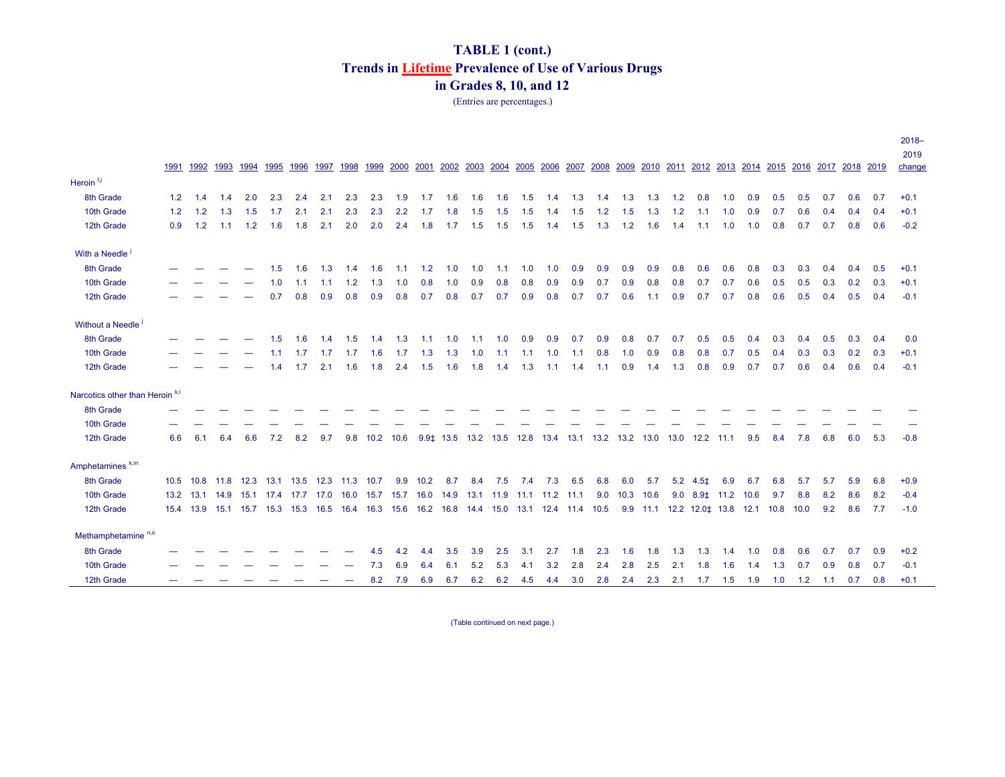(Entries are percentages.)

|                                            | 1991 | 1992           | 1993                          | 1994 | 1995                | 1996 | 1997 | 1998           | 1999          | 2000 | 2001                                         | 2002 2003 |           |        | 2004 2005 2006 |     | 2007 2008 |     | 2009                                                                     | 2010 2011 |     |                           |     | 2012 2013 2014 2015            |     | 2016 2017 2018 2019 |     |     |     | $2018 -$<br>2019<br>change |
|--------------------------------------------|------|----------------|-------------------------------|------|---------------------|------|------|----------------|---------------|------|----------------------------------------------|-----------|-----------|--------|----------------|-----|-----------|-----|--------------------------------------------------------------------------|-----------|-----|---------------------------|-----|--------------------------------|-----|---------------------|-----|-----|-----|----------------------------|
| Heroin <sup>1,j</sup>                      |      |                |                               |      |                     |      |      |                |               |      |                                              |           |           |        |                |     |           |     |                                                                          |           |     |                           |     |                                |     |                     |     |     |     |                            |
| 8th Grade                                  | 1.2  | 1.4            | 1.4                           | 2.0  | 2.3                 | 2.4  | 2.1  | 2.3            | 2.3           | 1.9  | 1.7                                          | 1.6       | 1.6       | 1.6    | 1.5            | 1.4 | 1.3       | 1.4 | 1.3                                                                      | 1.3       | 1.2 | 0.8                       | 1.0 | 0.9                            | 0.5 | 0.5                 | 0.7 | 0.6 | 0.7 | $+0.1$                     |
| 10th Grade                                 | 1.2  | 1.2            | 1.3                           | 1.5  | 1.7                 | 2.1  | 2.1  | 2.3            | 2.3           | 2.2  | 1.7                                          | 1.8       | 1.5       | 1.5    | 1.5            | 1.4 | 1.5       | 1.2 | 1.5                                                                      | 1.3       | 1.2 | 1.1                       | 1.0 | 0.9                            | 0.7 | 0.6                 | 0.4 | 0.4 | 0.4 | $+0.1$                     |
| 12th Grade                                 | 0.9  | 1.2            | 1.1                           | 1.2  | 1.6                 | 1.8  | 2.1  | 2.0            | 2.0           | 2.4  | 1.8                                          | 1.7       | 1.5       | 1.5    | 1.5            | 1.4 | 1.5       | 1.3 | 1.2                                                                      | 1.6       | 1.4 | 1.1                       | 1.0 | 1.0                            | 0.8 | 0.7                 | 0.7 | 0.8 | 0.6 | $-0.2$                     |
| With a Needle <sup>1</sup>                 |      |                |                               |      |                     |      |      |                |               |      |                                              |           |           |        |                |     |           |     |                                                                          |           |     |                           |     |                                |     |                     |     |     |     |                            |
| 8th Grade                                  |      |                |                               |      | 1.5                 | 1.6  | 1.3  | 1.4            | 1.6           | 1.1  | 1.2                                          | 1.0       | 1.0       | 1.1    | 1.0            | 1.0 | 0.9       | 0.9 | 0.9                                                                      | 0.9       | 0.8 | 0.6                       | 0.6 | 0.8                            | 0.3 | 0.3                 | 0.4 | 0.4 | 0.5 | $+0.1$                     |
| 10th Grade                                 |      |                |                               |      | 1.0                 | 1.1  | 1.1  | 1.2            | 1.3           | 1.0  | 0.8                                          | 1.0       | 0.9       | 0.8    | 0.8            | 0.9 | 0.9       | 0.7 | 0.9                                                                      | 0.8       | 0.8 | 0.7                       | 0.7 | 0.6                            | 0.5 | 0.5                 | 0.3 | 0.2 | 0.3 | $+0.1$                     |
| 12th Grade                                 |      |                |                               |      | 0.7                 | 0.8  | 0.9  | 0.8            | 0.9           | 0.8  | 0.7                                          | 0.8       | 0.7       | 0.7    | 0.9            | 0.8 | 0.7       | 0.7 | 0.6                                                                      | 1.1       | 0.9 | 0.7                       | 0.7 | 0.8                            | 0.6 | 0.5                 | 0.4 | 0.5 | 0.4 | $-0.1$                     |
| Without a Needle <sup>j</sup>              |      |                |                               |      |                     |      |      |                |               |      |                                              |           |           |        |                |     |           |     |                                                                          |           |     |                           |     |                                |     |                     |     |     |     |                            |
| 8th Grade                                  |      |                |                               |      | 1.5                 | 1.6  | 1.4  | 1.5            | 1.4           | 1.3  | 1.1                                          | 1.0       | 1.1       | 1.0    | 0.9            | 0.9 | 0.7       | 0.9 | 0.8                                                                      | 0.7       | 0.7 | 0.5                       | 0.5 | 0.4                            | 0.3 | 0.4                 | 0.5 | 0.3 | 0.4 | 0.0                        |
| 10th Grade                                 |      |                |                               |      | 1.1                 | 1.7  | 1.7  | 1.7            | 1.6           | 1.7  | 1.3                                          | 1.3       | 1.0       | $-1.1$ | 1.1            | 1.0 | 1.1       | 0.8 | 1.0                                                                      | 0.9       | 0.8 | 0.8                       | 0.7 | 0.5                            | 0.4 | 0.3                 | 0.3 | 0.2 | 0.3 | $+0.1$                     |
| 12th Grade                                 |      |                |                               |      | 1.4                 | 1.7  | 2.1  | 1.6            | 1.8           | 2.4  | 1.5                                          | 1.6       | 1.8       | 1.4    | 1.3            | 1.1 | 1.4       | 1.1 | 0.9                                                                      | 1.4       | 1.3 | 0.8                       | 0.9 | 0.7                            | 0.7 | 0.6                 | 0.4 | 0.6 | 0.4 | $-0.1$                     |
| Narcotics other than Heroin <sup>k,I</sup> |      |                |                               |      |                     |      |      |                |               |      |                                              |           |           |        |                |     |           |     |                                                                          |           |     |                           |     |                                |     |                     |     |     |     |                            |
| 8th Grade                                  |      |                |                               |      |                     |      |      |                |               |      |                                              |           |           |        |                |     |           |     |                                                                          |           |     |                           |     |                                |     |                     |     |     |     |                            |
| 10th Grade                                 |      |                |                               |      |                     |      |      |                |               |      |                                              |           |           |        |                |     |           |     |                                                                          |           |     |                           |     |                                |     |                     |     |     |     |                            |
| 12th Grade                                 | 6.6  | 6.1            | 6.4                           | 6.6  | 7.2                 | 8.2  | 9.7  |                | 9.8 10.2 10.6 |      |                                              |           |           |        |                |     |           |     | 9.9 $\sharp$ 13.5 13.2 13.5 12.8 13.4 13.1 13.2 13.2 13.0 13.0 12.2 11.1 |           |     |                           |     | 9.5                            | 8.4 | 7.8                 | 6.8 | 6.0 | 5.3 | $-0.8$                     |
| Amphetamines <sup>k,m</sup>                |      |                |                               |      |                     |      |      |                |               |      |                                              |           |           |        |                |     |           |     |                                                                          |           |     |                           |     |                                |     |                     |     |     |     |                            |
| 8th Grade                                  |      | 10.5 10.8 11.8 |                               | 12.3 | 13.1                | 13.5 |      | 12.3 11.3 10.7 |               | 9.9  | 10.2                                         | 8.7       | 8.4       | 7.5    | 7.4            | 7.3 | 6.5       | 6.8 | 6.0                                                                      | 5.7       |     | $5.2$ 4.5‡                | 6.9 | 6.7                            | 6.8 | 5.7                 | 5.7 | 5.9 | 6.8 | $+0.9$                     |
| 10th Grade                                 |      | 13.2 13.1 14.9 |                               |      | 15.1 17.4 17.7 17.0 |      |      | 16.0 15.7      |               |      | 15.7 16.0 14.9                               |           | 13.1 11.9 |        | 11.1 11.2 11.1 |     |           | 9.0 | 10.3 10.6                                                                |           |     | $9.0$ $8.9$ $11.2$ $10.6$ |     |                                | 9.7 | 8.8                 | 8.2 | 8.6 | 8.2 | $-0.4$                     |
| 12th Grade                                 |      |                | 15.4 13.9 15.1 15.7 15.3 15.3 |      |                     |      | 16.5 | 16.4 16.3      |               |      | 15.6 16.2 16.8 14.4 15.0 13.1 12.4 11.4 10.5 |           |           |        |                |     |           |     |                                                                          | 9.9 11.1  |     |                           |     | 12.2 12.0   13.8   12.1   10.8 |     | 10.0                | 9.2 | 8.6 | 7.7 | $-1.0$                     |
| Methamphetamine <sup>n,o</sup>             |      |                |                               |      |                     |      |      |                |               |      |                                              |           |           |        |                |     |           |     |                                                                          |           |     |                           |     |                                |     |                     |     |     |     |                            |
| 8th Grade                                  |      |                |                               |      |                     |      |      |                | 4.5           | 4.2  | 4.4                                          | 3.5       | 3.9       | 2.5    | 3.1            | 2.7 | 1.8       | 2.3 | 1.6                                                                      | 1.8       | 1.3 | 1.3                       | 1.4 | 1.0                            | 0.8 | 0.6                 | 0.7 | 0.7 | 0.9 | $+0.2$                     |
| 10th Grade                                 |      |                |                               |      |                     |      |      |                | 7.3           | 6.9  | 6.4                                          | 6.1       | 5.2       | 5.3    | 4.1            | 3.2 | 2.8       | 2.4 | 2.8                                                                      | 2.5       | 2.1 | 1.8                       | 1.6 | 1.4                            | 1.3 | 0.7                 | 0.9 | 0.8 | 0.7 | $-0.1$                     |
| 12th Grade                                 |      |                |                               |      |                     |      |      |                | 8.2           | 7.9  | 6.9                                          | 6.7       | 6.2       | 6.2    | 4.5            | 4.4 | 3.0       | 2.8 | 2.4                                                                      | 2.3       | 2.1 | 1.7                       | 1.5 | 1.9                            | 1.0 | 1.2                 | 1.1 | 0.7 | 0.8 | $+0.1$                     |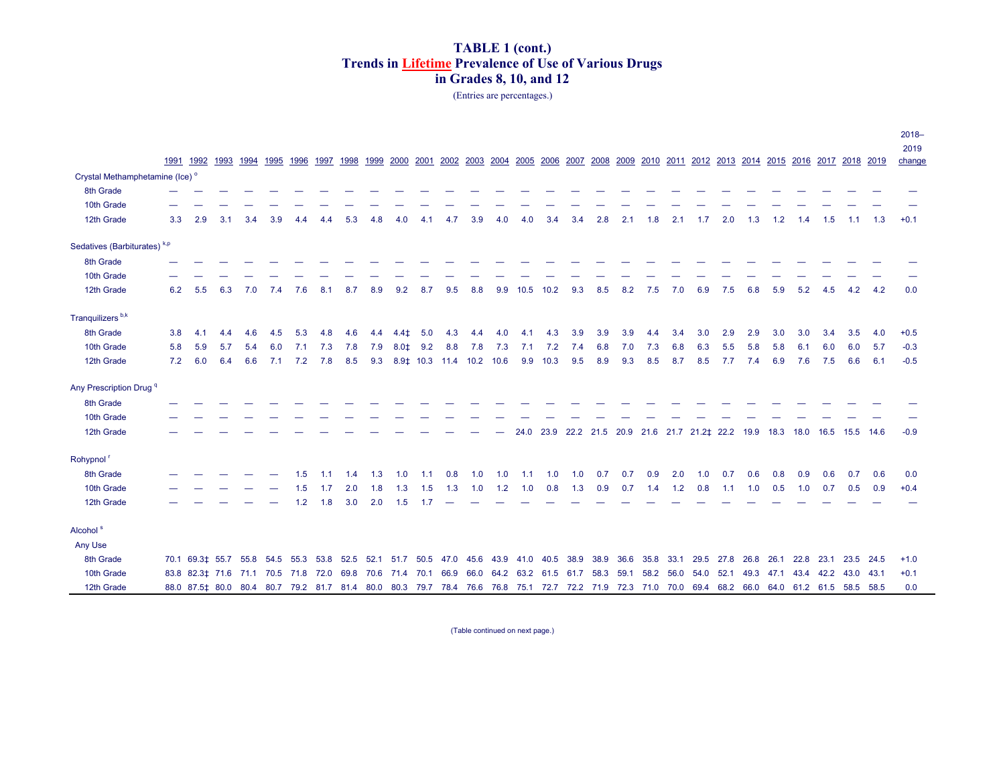(Entries are percentages.)

|                                            | 1991 | 1992                                                                                                                                              | 1993 | 1994 | 1995 | 1996 | 1997 | 1998 | 1999      | 2000   |     | 2001 2002 2003 2004 2005 2006           |     |       |      |      |      |      |                                                             |      |      |      |      |     |                               |      |           | 2007 2008 2009 2010 2011 2012 2013 2014 2015 2016 2017 2018 2019 |      | $2018 -$<br>2019<br>change |
|--------------------------------------------|------|---------------------------------------------------------------------------------------------------------------------------------------------------|------|------|------|------|------|------|-----------|--------|-----|-----------------------------------------|-----|-------|------|------|------|------|-------------------------------------------------------------|------|------|------|------|-----|-------------------------------|------|-----------|------------------------------------------------------------------|------|----------------------------|
| Crystal Methamphetamine (Ice) <sup>o</sup> |      |                                                                                                                                                   |      |      |      |      |      |      |           |        |     |                                         |     |       |      |      |      |      |                                                             |      |      |      |      |     |                               |      |           |                                                                  |      |                            |
| 8th Grade                                  |      |                                                                                                                                                   |      |      |      |      |      |      |           |        |     |                                         |     |       |      |      |      |      |                                                             |      |      |      |      |     |                               |      |           |                                                                  |      |                            |
| 10th Grade                                 |      |                                                                                                                                                   |      |      |      |      |      |      |           |        |     |                                         |     |       |      |      |      |      |                                                             |      |      |      |      |     |                               |      |           |                                                                  |      |                            |
| 12th Grade                                 | 3.3  | 2.9                                                                                                                                               | 3.1  | 3.4  | 3.9  | 4.4  | 4.4  | 5.3  | 4.8       | 4.0    | 4.1 | 4.7                                     | 3.9 | 4.0   | 4.0  | 3.4  | 3.4  | 2.8  | 2.1                                                         | 1.8  | 2.1  | 1.7  | 2.0  | 1.3 | 1.2                           | 1.4  | 1.5       | 1.1                                                              | 1.3  | $+0.1$                     |
| Sedatives (Barbiturates) <sup>k,p</sup>    |      |                                                                                                                                                   |      |      |      |      |      |      |           |        |     |                                         |     |       |      |      |      |      |                                                             |      |      |      |      |     |                               |      |           |                                                                  |      |                            |
| 8th Grade                                  |      |                                                                                                                                                   |      |      |      |      |      |      |           |        |     |                                         |     |       |      |      |      |      |                                                             |      |      |      |      |     |                               |      |           |                                                                  |      |                            |
| 10th Grade                                 |      |                                                                                                                                                   |      |      |      |      |      |      |           |        |     |                                         |     |       |      |      |      |      |                                                             |      |      |      |      |     |                               |      |           |                                                                  |      |                            |
| 12th Grade                                 | 6.2  | 5.5                                                                                                                                               | 6.3  | 7.0  | 7.4  | 7.6  | 8.1  | 8.7  | 8.9       | 9.2    | 8.7 | 9.5                                     | 8.8 | 9.9   | 10.5 | 10.2 | 9.3  | 8.5  | 8.2                                                         | 7.5  | 7.0  | 6.9  | 7.5  | 6.8 | 5.9                           | 5.2  | 4.5       | 4.2                                                              | 4.2  | 0.0                        |
| Tranquilizers <sup>b,k</sup>               |      |                                                                                                                                                   |      |      |      |      |      |      |           |        |     |                                         |     |       |      |      |      |      |                                                             |      |      |      |      |     |                               |      |           |                                                                  |      |                            |
| 8th Grade                                  | 3.8  | 4.1                                                                                                                                               | 4.4  | 4.6  | 4.5  | 5.3  | 4.8  | 4.6  | 4.4       | $4.4+$ | 5.0 | 4.3                                     | 4.4 | 4.0   | 4.1  | 4.3  | 3.9  | 3.9  | 3.9                                                         | 4.4  | 3.4  | 3.0  | 2.9  | 2.9 | 3.0                           | 3.0  | 3.4       | 3.5                                                              | 4.0  | $+0.5$                     |
| 10th Grade                                 | 5.8  | 5.9                                                                                                                                               | 5.7  | 5.4  | 6.0  | 7.1  | 7.3  | 7.8  | 7.9       | $8.0+$ | 9.2 | 8.8                                     | 7.8 | 7.3   | 7.1  | 7.2  | 7.4  | 6.8  | 7.0                                                         | 7.3  | 6.8  | 6.3  | 5.5  | 5.8 | 5.8                           | 6.1  | 6.0       | 6.0                                                              | 5.7  | $-0.3$                     |
| 12th Grade                                 | 7.2  | 6.0                                                                                                                                               | 6.4  | 6.6  | 7.1  | 7.2  | 7.8  | 8.5  | 9.3       |        |     | 8.9   10.3   11.4   10.2   10.6         |     |       | 9.9  | 10.3 | 9.5  | 8.9  | 9.3                                                         | 8.5  | 8.7  | 8.5  | 7.7  | 7.4 | 6.9                           | 7.6  | 7.5       | 6.6                                                              | 6.1  | $-0.5$                     |
| Any Prescription Drug <sup>q</sup>         |      |                                                                                                                                                   |      |      |      |      |      |      |           |        |     |                                         |     |       |      |      |      |      |                                                             |      |      |      |      |     |                               |      |           |                                                                  |      |                            |
| 8th Grade                                  |      |                                                                                                                                                   |      |      |      |      |      |      |           |        |     |                                         |     |       |      |      |      |      |                                                             |      |      |      |      |     |                               |      |           |                                                                  |      |                            |
| 10th Grade                                 |      |                                                                                                                                                   |      |      |      |      |      |      |           |        |     |                                         |     |       |      |      |      |      |                                                             |      |      |      |      |     |                               |      |           |                                                                  |      |                            |
| 12th Grade                                 |      |                                                                                                                                                   |      |      |      |      |      |      |           |        |     |                                         |     |       |      |      |      |      | 24.0 23.9 22.2 21.5 20.9 21.6 21.7 21.2‡ 22.2 19.9 18.3     |      |      |      |      |     |                               |      |           | 18.0 16.5 15.5 14.6                                              |      | $-0.9$                     |
| Rohypnol                                   |      |                                                                                                                                                   |      |      |      |      |      |      |           |        |     |                                         |     |       |      |      |      |      |                                                             |      |      |      |      |     |                               |      |           |                                                                  |      |                            |
| 8th Grade                                  |      |                                                                                                                                                   |      |      |      | 1.5  | 1.1  | 1.4  | 1.3       | 1.0    | 1.1 | 0.8                                     | 1.0 | 1.0   | 1.1  | 1.0  | 1.0  | 0.7  | 0.7                                                         | 0.9  | 2.0  | 1.0  | 0.7  | 0.6 | 0.8                           | 0.9  | 0.6       | 0.7                                                              | 0.6  | 0.0                        |
| 10th Grade                                 |      |                                                                                                                                                   |      |      |      | 1.5  | 1.7  | 2.0  | 1.8       | 1.3    | 1.5 | 1.3                                     | 1.0 | $1.2$ | 1.0  | 0.8  | 1.3  | 0.9  | 0.7                                                         | 1.4  | 1.2  | 0.8  | 1.1  | 1.0 | 0.5                           | 1.0  | 0.7       | 0.5                                                              | 0.9  | $+0.4$                     |
| 12th Grade                                 |      |                                                                                                                                                   |      |      |      | 1.2  | 1.8  | 3.0  | 2.0       | 1.5    | 1.7 |                                         |     |       |      |      |      |      |                                                             |      |      |      |      |     |                               |      |           |                                                                  |      |                            |
| Alcohol <sup>s</sup>                       |      |                                                                                                                                                   |      |      |      |      |      |      |           |        |     |                                         |     |       |      |      |      |      |                                                             |      |      |      |      |     |                               |      |           |                                                                  |      |                            |
| Any Use                                    |      |                                                                                                                                                   |      |      |      |      |      |      |           |        |     |                                         |     |       |      |      |      |      |                                                             |      |      |      |      |     |                               |      |           |                                                                  |      |                            |
| 8th Grade                                  |      | 70.1 69.3 $\sharp$ 55.7 55.8 54.5 55.3 53.8                                                                                                       |      |      |      |      |      | 52.5 |           |        |     | 52.1 51.7 50.5 47.0 45.6 43.9 41.0 40.5 |     |       |      |      | 38.9 | 38.9 | 36.6                                                        | 35.8 | 33.1 | 29.5 | 27.8 |     | 26.8 26.1                     | 22.8 | 23.1 23.5 |                                                                  | 24.5 | $+1.0$                     |
| 10th Grade                                 |      | 83.8 82.3  71.6  71.1  70.5  71.8  72.0  69.8                                                                                                     |      |      |      |      |      |      | 70.6 71.4 |        |     |                                         |     |       |      |      |      |      | 70.1 66.9 66.0 64.2 63.2 61.5 61.7 58.3 59.1 58.2 56.0 54.0 |      |      |      |      |     | 52.1 49.3 47.1 43.4 42.2 43.0 |      |           |                                                                  | 43.1 | $+0.1$                     |
| 12th Grade                                 |      | 88.0 87.5  80.0 80.4 80.7 79.2 81.7 81.4 80.0 80.3 79.7 78.4 76.6 76.8 75.1 72.7 72.2 71.9 72.3 71.0 70.0 69.4 68.2 66.0 64.0 61.2 61.5 58.5 58.5 |      |      |      |      |      |      |           |        |     |                                         |     |       |      |      |      |      |                                                             |      |      |      |      |     |                               |      |           |                                                                  |      | 0.0                        |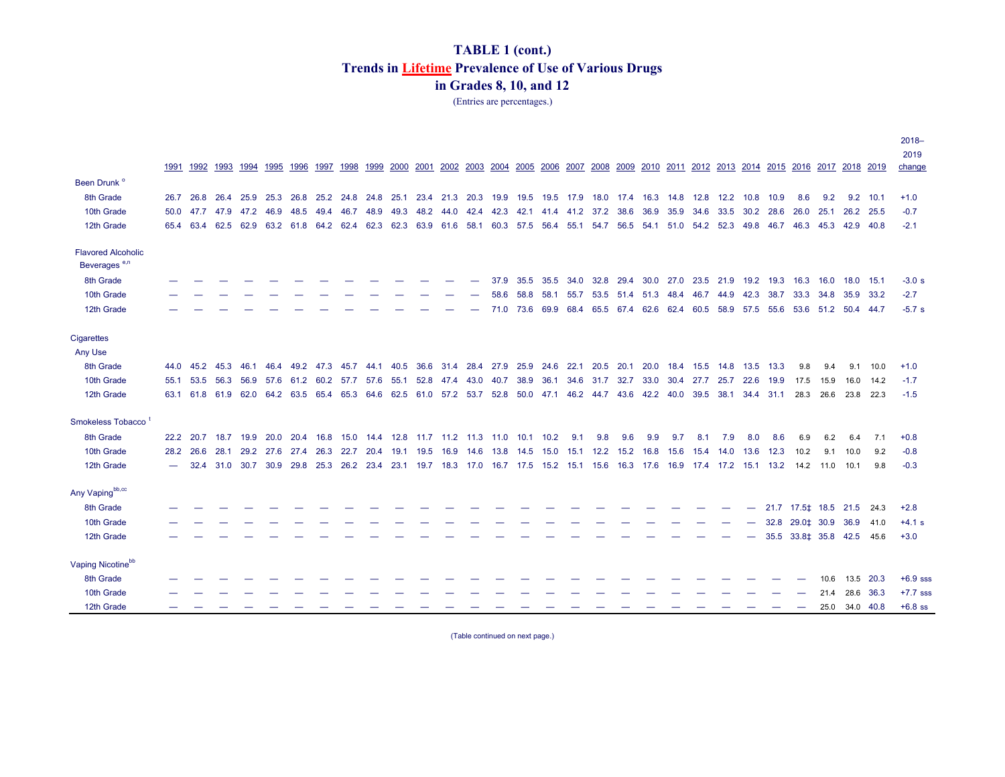(Entries are percentages.)

|                                |      |           |                          |                |      |      |           |                                                   |                |                |           |           |                     |      |           |      |                                                                                                                              |           |                          |                |           |                |                |      |                                                        |           |                |            | $2018 -$   |
|--------------------------------|------|-----------|--------------------------|----------------|------|------|-----------|---------------------------------------------------|----------------|----------------|-----------|-----------|---------------------|------|-----------|------|------------------------------------------------------------------------------------------------------------------------------|-----------|--------------------------|----------------|-----------|----------------|----------------|------|--------------------------------------------------------|-----------|----------------|------------|------------|
|                                |      |           |                          |                |      |      |           |                                                   |                |                |           |           |                     |      |           |      |                                                                                                                              |           |                          |                |           |                |                |      |                                                        |           |                |            | 2019       |
|                                | 1991 |           | 1992 1993 1994 1995      |                |      | 1996 | 1997      | 1998                                              | 1999 2000      | 2001           | 2002 2003 |           | 2004                |      | 2005 2006 |      | 2007 2008                                                                                                                    |           |                          |                |           |                |                |      | 2009 2010 2011 2012 2013 2014 2015 2016 2017 2018 2019 |           |                |            | change     |
| Been Drunk <sup>o</sup>        |      |           |                          |                |      |      |           |                                                   |                |                |           |           |                     |      |           |      |                                                                                                                              |           |                          |                |           |                |                |      |                                                        |           |                |            |            |
| 8th Grade                      |      |           |                          |                |      |      |           |                                                   |                |                |           |           |                     |      |           |      | 26.7 26.8 26.4 25.9 25.3 26.8 25.2 24.8 24.8 25.1 23.4 21.3 20.3 19.9 19.5 19.5 17.9 18.0 17.4 16.3 14.8 12.8 12.2 10.8 10.9 |           |                          |                |           |                |                |      | 8.6                                                    | 9.2       |                | $9.2$ 10.1 | $+1.0$     |
| 10th Grade                     |      | 50.0 47.7 | 47.9                     | 47.2 46.9      |      | 48.5 | 49.4 46.7 |                                                   | 48.9           | 49.3 48.2 44.0 |           | 42.4 42.3 |                     |      |           |      | 42.1 41.4 41.2 37.2 38.6                                                                                                     |           | 36.9                     |                | 35.9 34.6 | 33.5           | 30.2           | 28.6 | 26.0                                                   | 25.1      |                | 26.2 25.5  | $-0.7$     |
| 12th Grade                     |      | 65.4 63.4 | 62.5                     | 62.9 63.2 61.8 |      |      | 64.2 62.4 |                                                   | 62.3 62.3 63.9 |                | 61.6      |           | 58.1 60.3 57.5 56.4 |      |           |      | 55.1 54.7 56.5                                                                                                               |           | 54.1 51.0 54.2 52.3 49.8 |                |           |                |                |      | 46.7 46.3 45.3 42.9                                    |           |                | - 40.8     | $-2.1$     |
| <b>Flavored Alcoholic</b>      |      |           |                          |                |      |      |           |                                                   |                |                |           |           |                     |      |           |      |                                                                                                                              |           |                          |                |           |                |                |      |                                                        |           |                |            |            |
| Beverages <sup>e,n</sup>       |      |           |                          |                |      |      |           |                                                   |                |                |           |           |                     |      |           |      |                                                                                                                              |           |                          |                |           |                |                |      |                                                        |           |                |            |            |
| 8th Grade                      |      |           |                          |                |      |      |           |                                                   |                |                |           |           | 37.9                | 35.5 | 35.5      | 34.0 |                                                                                                                              | 32.8 29.4 |                          | 30.0 27.0 23.5 |           | 21.9           | 19.2 19.3      |      | 16.3                                                   | 16.0      |                | 18.0 15.1  | $-3.0 s$   |
| 10th Grade                     |      |           |                          |                |      |      |           |                                                   |                |                |           |           | 58.6                | 58.8 | 58.1      |      | 55.7 53.5 51.4 51.3 48.4 46.7 44.9 42.3 38.7                                                                                 |           |                          |                |           |                |                |      | 33.3 34.8 35.9 33.2                                    |           |                |            | $-2.7$     |
| 12th Grade                     |      |           |                          |                |      |      |           |                                                   |                |                |           |           |                     |      |           |      | 71.0 73.6 69.9 68.4 65.5 67.4 62.6 62.4 60.5                                                                                 |           |                          |                |           | 58.9 57.5 55.6 |                |      | 53.6 51.2 50.4 44.7                                    |           |                |            | $-5.7s$    |
| Cigarettes                     |      |           |                          |                |      |      |           |                                                   |                |                |           |           |                     |      |           |      |                                                                                                                              |           |                          |                |           |                |                |      |                                                        |           |                |            |            |
| Any Use                        |      |           |                          |                |      |      |           |                                                   |                |                |           |           |                     |      |           |      |                                                                                                                              |           |                          |                |           |                |                |      |                                                        |           |                |            |            |
| 8th Grade                      |      | 44.0 45.2 | 45.3                     | 46.1           | 46.4 |      |           | 49.2 47.3 45.7 44.1 40.5 36.6                     |                |                |           |           |                     |      |           |      | 31.4 28.4 27.9 25.9 24.6 22.1 20.5 20.1                                                                                      |           | 20.0                     |                | 18.4 15.5 |                | 14.8 13.5 13.3 |      | 9.8                                                    | 9.4       | 9.1            | 10.0       | $+1.0$     |
| 10th Grade                     |      |           |                          |                |      |      |           |                                                   |                |                |           |           |                     |      |           |      | 55.1 53.5 56.3 56.9 57.6 61.2 60.2 57.7 57.6 55.1 52.8 47.4 43.0 40.7 38.9 36.1 34.6 31.7 32.7 33.0 30.4 27.7 25.7 22.6 19.9 |           |                          |                |           |                |                |      |                                                        | 17.5 15.9 | 16.0 14.2      |            | $-1.7$     |
| 12th Grade                     |      |           |                          |                |      |      |           |                                                   |                |                |           |           |                     |      |           |      | 63.1 61.8 61.9 62.0 64.2 63.5 65.4 65.3 64.6 62.5 61.0 57.2 53.7 52.8 50.0 47.1 46.2 44.7 43.6 42.2 40.0 39.5 38.1 34.4 31.1 |           |                          |                |           |                |                |      |                                                        | 28.3 26.6 | 23.8 22.3      |            | $-1.5$     |
| Smokeless Tobacco <sup>1</sup> |      |           |                          |                |      |      |           |                                                   |                |                |           |           |                     |      |           |      |                                                                                                                              |           |                          |                |           |                |                |      |                                                        |           |                |            |            |
| 8th Grade                      |      |           | 22.2 20.7 18.7 19.9 20.0 |                |      | 20.4 |           | 16.8 15.0 14.4 12.8 11.7 11.2 11.3 11.0 10.1 10.2 |                |                |           |           |                     |      |           | 9.1  | 9.8                                                                                                                          | 9.6       | 9.9                      | 9.7            | 8.1       | 7.9            | 8.0            | 8.6  | 6.9                                                    | 6.2       | 6.4            | 7.1        | $+0.8$     |
| 10th Grade                     | 28.2 | 26.6      | 28.1                     | 29.2 27.6      |      | 27.4 | 26.3 22.7 |                                                   | 20.4 19.1 19.5 |                | 16.9 14.6 |           | 13.8 14.5           |      |           |      | 15.0 15.1 12.2 15.2                                                                                                          |           | 16.8                     |                | 15.6 15.4 | 14.0           | 13.6           | 12.3 | 10.2                                                   | 9.1       | 10.0           | 9.2        | $-0.8$     |
| 12th Grade                     |      | 32.4      |                          | 31.0 30.7 30.9 |      |      |           |                                                   |                |                |           |           |                     |      |           |      | 29.8 25.3 26.2 23.4 23.1 19.7 18.3 17.0 16.7 17.5 15.2 15.1 15.6 16.3 17.6 16.9 17.4 17.2 15.1 13.2 14.2 11.0                |           |                          |                |           |                |                |      |                                                        |           | 10.1           | 9.8        | $-0.3$     |
| Any Vapingbb,cc                |      |           |                          |                |      |      |           |                                                   |                |                |           |           |                     |      |           |      |                                                                                                                              |           |                          |                |           |                |                |      |                                                        |           |                |            |            |
| 8th Grade                      |      |           |                          |                |      |      |           |                                                   |                |                |           |           |                     |      |           |      |                                                                                                                              |           |                          |                |           |                | —              |      | 21.7 17.5   18.5   21.5   24.3                         |           |                |            | $+2.8$     |
| 10th Grade                     |      |           |                          |                |      |      |           |                                                   |                |                |           |           |                     |      |           |      |                                                                                                                              |           |                          |                |           |                |                | 32.8 | 29.0 ± 30.9 36.9                                       |           |                | 41.0       | $+4.1 s$   |
| 12th Grade                     |      |           |                          |                |      |      |           |                                                   |                |                |           |           |                     |      |           |      |                                                                                                                              |           |                          |                |           |                |                |      |                                                        |           |                | 45.6       | $+3.0$     |
| Vaping Nicotinebb              |      |           |                          |                |      |      |           |                                                   |                |                |           |           |                     |      |           |      |                                                                                                                              |           |                          |                |           |                |                |      |                                                        |           |                |            |            |
| 8th Grade                      |      |           |                          |                |      |      |           |                                                   |                |                |           |           |                     |      |           |      |                                                                                                                              |           |                          |                |           |                |                |      |                                                        | 10.6      | 13.5           | 20.3       | $+6.9$ sss |
| 10th Grade                     |      |           |                          |                |      |      |           |                                                   |                |                |           |           |                     |      |           |      |                                                                                                                              |           |                          |                |           |                |                |      |                                                        | 21.4      |                | 28.6 36.3  | $+7.7$ sss |
| 12th Grade                     |      |           |                          |                |      |      |           |                                                   |                |                |           |           |                     |      |           |      |                                                                                                                              |           |                          |                |           |                |                |      |                                                        |           | 25.0 34.0 40.8 |            | $+6.8$ ss  |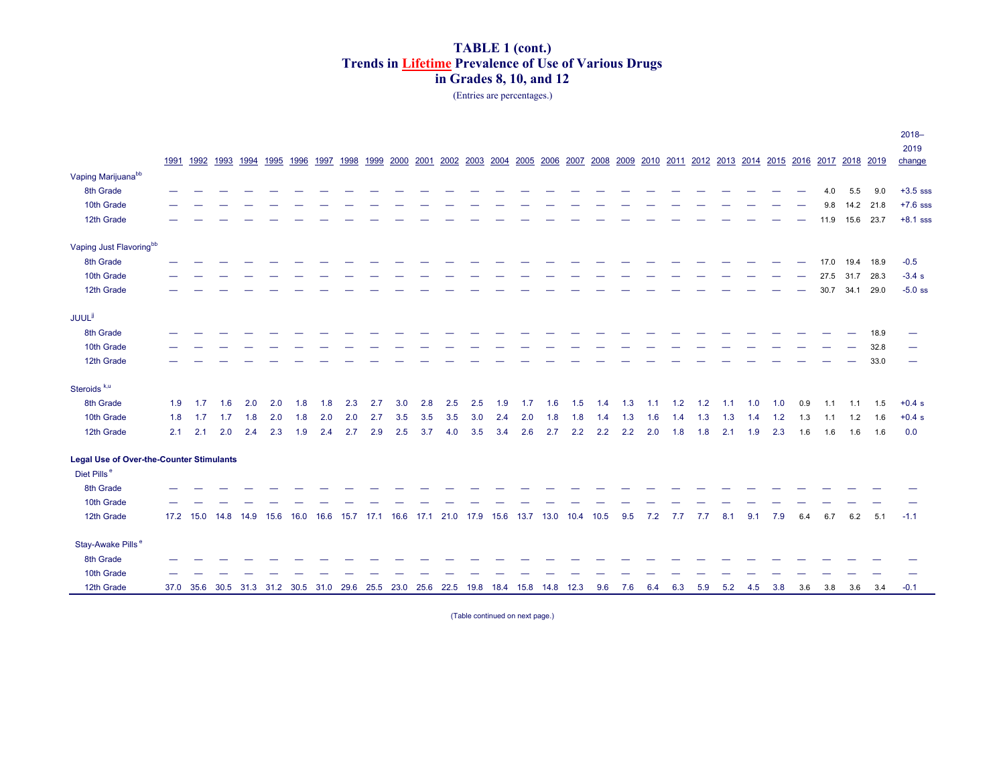#### (Entries are percentages.)

|                                                 |     |                                                                                      |     |      |      |      |      |             |      |      |      |                     |     |      |           |     |                                                                  |      |     |     |     |     |     |     |     |     |      |                |      | $2018 -$   |
|-------------------------------------------------|-----|--------------------------------------------------------------------------------------|-----|------|------|------|------|-------------|------|------|------|---------------------|-----|------|-----------|-----|------------------------------------------------------------------|------|-----|-----|-----|-----|-----|-----|-----|-----|------|----------------|------|------------|
|                                                 |     |                                                                                      |     |      |      |      |      |             |      |      |      |                     |     |      |           |     |                                                                  |      |     |     |     |     |     |     |     |     |      |                |      | 2019       |
|                                                 |     | 1991 1992 1993 1994 1995 1996                                                        |     |      |      |      | 1997 | 1998        | 1999 | 2000 | 2001 | 2002 2003           |     |      |           |     | 2004 2005 2006 2007 2008 2009 2010 2011 2012 2013 2014 2015 2016 |      |     |     |     |     |     |     |     |     |      | 2017 2018 2019 |      | change     |
| Vaping Marijuana <sup>bb</sup>                  |     |                                                                                      |     |      |      |      |      |             |      |      |      |                     |     |      |           |     |                                                                  |      |     |     |     |     |     |     |     |     |      |                |      |            |
| 8th Grade                                       |     |                                                                                      |     |      |      |      |      |             |      |      |      |                     |     |      |           |     |                                                                  |      |     |     |     |     |     |     |     |     | 4.0  | 5.5            | 9.0  | $+3.5$ sss |
| 10th Grade                                      |     |                                                                                      |     |      |      |      |      |             |      |      |      |                     |     |      |           |     |                                                                  |      |     |     |     |     |     |     |     |     | 9.8  | 14.2           | 21.8 | $+7.6$ sss |
| 12th Grade                                      |     |                                                                                      |     |      |      |      |      |             |      |      |      |                     |     |      |           |     |                                                                  |      |     |     |     |     |     |     |     |     | 11.9 | 15.6 23.7      |      | $+8.1$ sss |
| Vaping Just Flavoringbb                         |     |                                                                                      |     |      |      |      |      |             |      |      |      |                     |     |      |           |     |                                                                  |      |     |     |     |     |     |     |     |     |      |                |      |            |
| 8th Grade                                       |     |                                                                                      |     |      |      |      |      |             |      |      |      |                     |     |      |           |     |                                                                  |      |     |     |     |     |     |     |     |     | 17.0 | 19.4           | 18.9 | $-0.5$     |
| 10th Grade                                      |     |                                                                                      |     |      |      |      |      |             |      |      |      |                     |     |      |           |     |                                                                  |      |     |     |     |     |     |     |     |     | 27.5 | 31.7           | 28.3 | $-3.4 s$   |
| 12th Grade                                      |     |                                                                                      |     |      |      |      |      |             |      |      |      |                     |     |      |           |     |                                                                  |      |     |     |     |     |     |     |     |     | 30.7 | 34.1           | 29.0 | $-5.0$ ss  |
| <b>JUUL<sup>jj</sup></b>                        |     |                                                                                      |     |      |      |      |      |             |      |      |      |                     |     |      |           |     |                                                                  |      |     |     |     |     |     |     |     |     |      |                |      |            |
| 8th Grade                                       |     |                                                                                      |     |      |      |      |      |             |      |      |      |                     |     |      |           |     |                                                                  |      |     |     |     |     |     |     |     |     |      |                | 18.9 |            |
| 10th Grade                                      |     |                                                                                      |     |      |      |      |      |             |      |      |      |                     |     |      |           |     |                                                                  |      |     |     |     |     |     |     |     |     |      |                | 32.8 |            |
| 12th Grade                                      |     |                                                                                      |     |      |      |      |      |             |      |      |      |                     |     |      |           |     |                                                                  |      |     |     |     |     |     |     |     |     |      |                | 33.0 |            |
| Steroids <sup>k,u</sup>                         |     |                                                                                      |     |      |      |      |      |             |      |      |      |                     |     |      |           |     |                                                                  |      |     |     |     |     |     |     |     |     |      |                |      |            |
| 8th Grade                                       | 1.9 | 1.7                                                                                  | 1.6 | 2.0  | 2.0  | 1.8  | 1.8  | 2.3         | 2.7  | 3.0  | 2.8  | 2.5                 | 2.5 | 1.9  | 1.7       | 1.6 | 1.5                                                              | 1.4  | 1.3 | 1.1 | 1.2 | 1.2 | 1.1 | 1.0 | 1.0 | 0.9 | 1.1  | 1.1            | 1.5  | $+0.4 s$   |
| 10th Grade                                      | 1.8 | 1.7                                                                                  | 1.7 | 1.8  | 2.0  | 1.8  | 2.0  | 2.0         | 2.7  | 3.5  | 3.5  | 3.5                 | 3.0 | 2.4  | 2.0       | 1.8 | 1.8                                                              | 1.4  | 1.3 | 1.6 | 1.4 | 1.3 | 1.3 | 1.4 | 1.2 | 1.3 | 1.1  | 1.2            | 1.6  | $+0.4 s$   |
| 12th Grade                                      | 2.1 | 2.1                                                                                  | 2.0 | 2.4  | 2.3  | 1.9  | 2.4  | 2.7         | 2.9  | 2.5  | 3.7  | 4.0                 | 3.5 | 3.4  | 2.6       | 2.7 | 2.2                                                              | 2.2  | 2.2 | 2.0 | 1.8 | 1.8 | 2.1 | 1.9 | 2.3 | 1.6 | 1.6  | 1.6            | 1.6  | 0.0        |
| <b>Legal Use of Over-the-Counter Stimulants</b> |     |                                                                                      |     |      |      |      |      |             |      |      |      |                     |     |      |           |     |                                                                  |      |     |     |     |     |     |     |     |     |      |                |      |            |
| Diet Pills <sup>e</sup>                         |     |                                                                                      |     |      |      |      |      |             |      |      |      |                     |     |      |           |     |                                                                  |      |     |     |     |     |     |     |     |     |      |                |      |            |
| 8th Grade                                       |     |                                                                                      |     |      |      |      |      |             |      |      |      |                     |     |      |           |     |                                                                  |      |     |     |     |     |     |     |     |     |      |                |      |            |
| 10th Grade                                      |     |                                                                                      |     |      |      |      |      |             |      |      |      |                     |     |      |           |     |                                                                  |      |     |     |     |     |     |     |     |     |      |                |      |            |
| 12th Grade                                      |     | 17.2 15.0 14.8                                                                       |     | 14.9 | 15.6 | 16.0 | 16.6 | $15.7$ 17.1 |      |      |      | 16.6 17.1 21.0 17.9 |     | 15.6 | 13.7 13.0 |     | 10.4                                                             | 10.5 | 9.5 | 7.2 | 7.7 | 7.7 | 8.1 | 9.1 | 7.9 | 6.4 | 6.7  | 6.2            | 5.1  | $-1.1$     |
| Stay-Awake Pills <sup>e</sup>                   |     |                                                                                      |     |      |      |      |      |             |      |      |      |                     |     |      |           |     |                                                                  |      |     |     |     |     |     |     |     |     |      |                |      |            |
| 8th Grade                                       |     |                                                                                      |     |      |      |      |      |             |      |      |      |                     |     |      |           |     |                                                                  |      |     |     |     |     |     |     |     |     |      |                |      |            |
| 10th Grade                                      |     |                                                                                      |     |      |      |      |      |             |      |      |      |                     |     |      |           |     |                                                                  |      |     |     |     |     |     |     |     |     |      |                |      |            |
| 12th Grade                                      |     | 37.0 35.6 30.5 31.3 31.2 30.5 31.0 29.6 25.5 23.0 25.6 22.5 19.8 18.4 15.8 14.8 12.3 |     |      |      |      |      |             |      |      |      |                     |     |      |           |     |                                                                  | 9.6  | 7.6 | 6.4 | 6.3 | 5.9 | 5.2 | 4.5 | 3.8 | 3.6 | 3.8  | 3.6            | 3.4  | $-0.1$     |
|                                                 |     |                                                                                      |     |      |      |      |      |             |      |      |      |                     |     |      |           |     |                                                                  |      |     |     |     |     |     |     |     |     |      |                |      |            |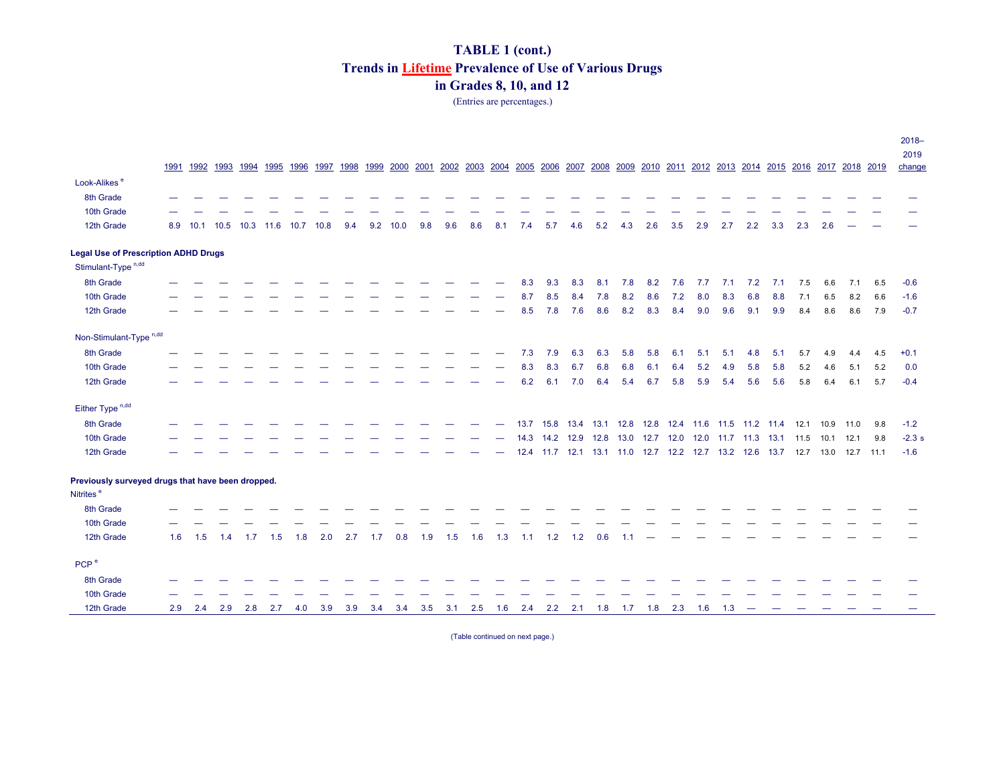(Entries are percentages.)

|                                                   |      |      |      |                          |     |      |      |     |     |      |     |             |     |     |      |     |     |           |     |     |     |     |     |     |                                                                                                                    |     |     |           |     | $2018 -$ |
|---------------------------------------------------|------|------|------|--------------------------|-----|------|------|-----|-----|------|-----|-------------|-----|-----|------|-----|-----|-----------|-----|-----|-----|-----|-----|-----|--------------------------------------------------------------------------------------------------------------------|-----|-----|-----------|-----|----------|
|                                                   |      |      |      |                          |     |      |      |     |     |      |     |             |     |     |      |     |     |           |     |     |     |     |     |     |                                                                                                                    |     |     |           |     | 2019     |
|                                                   | 1991 |      |      | 1992 1993 1994 1995 1996 |     |      |      |     |     |      |     |             |     |     |      |     |     |           |     |     |     |     |     |     | 1997 1998 1999 2000 2001 2002 2003 2004 2005 2006 2007 2008 2009 2010 2011 2012 2013 2014 2015 2016 2017 2018 2019 |     |     |           |     | change   |
| Look-Alikes <sup>e</sup>                          |      |      |      |                          |     |      |      |     |     |      |     |             |     |     |      |     |     |           |     |     |     |     |     |     |                                                                                                                    |     |     |           |     |          |
| 8th Grade                                         |      |      |      |                          |     |      |      |     |     |      |     |             |     |     |      |     |     |           |     |     |     |     |     |     |                                                                                                                    |     |     |           |     |          |
| 10th Grade                                        |      |      |      |                          |     |      |      |     |     |      |     |             |     |     |      |     |     |           |     |     |     |     |     |     |                                                                                                                    |     |     |           |     |          |
| 12th Grade                                        | 8.9  | 10.1 | 10.5 | 10.3 11.6                |     | 10.7 | 10.8 | 9.4 | 9.2 | 10.0 | 9.8 | 9.6         | 8.6 | 8.1 | 7.4  | 5.7 | 4.6 | 5.2       | 4.3 | 2.6 | 3.5 | 2.9 | 2.7 | 2.2 | 3.3                                                                                                                | 2.3 | 2.6 |           |     |          |
| <b>Legal Use of Prescription ADHD Drugs</b>       |      |      |      |                          |     |      |      |     |     |      |     |             |     |     |      |     |     |           |     |     |     |     |     |     |                                                                                                                    |     |     |           |     |          |
| Stimulant-Type <sup>n,dd</sup>                    |      |      |      |                          |     |      |      |     |     |      |     |             |     |     |      |     |     |           |     |     |     |     |     |     |                                                                                                                    |     |     |           |     |          |
| 8th Grade                                         |      |      |      |                          |     |      |      |     |     |      |     |             |     |     | 8.3  | 9.3 | 8.3 | 8.1       | 7.8 | 8.2 | 7.6 | 7.7 | 7.1 | 7.2 | 7.1                                                                                                                | 7.5 | 6.6 | 7.1       | 6.5 | $-0.6$   |
| 10th Grade                                        |      |      |      |                          |     |      |      |     |     |      |     |             |     |     | 8.7  | 8.5 | 8.4 | 7.8       | 8.2 | 8.6 | 7.2 | 8.0 | 8.3 | 6.8 | 8.8                                                                                                                | 7.1 | 6.5 | 8.2       | 6.6 | $-1.6$   |
| 12th Grade                                        |      |      |      |                          |     |      |      |     |     |      |     |             |     |     | 8.5  | 7.8 | 7.6 | 8.6       | 8.2 | 8.3 | 8.4 | 9.0 | 9.6 | 9.1 | 9.9                                                                                                                | 8.4 | 8.6 | 8.6       | 7.9 | $-0.7$   |
| Non-Stimulant-Type <sup>n,dd</sup>                |      |      |      |                          |     |      |      |     |     |      |     |             |     |     |      |     |     |           |     |     |     |     |     |     |                                                                                                                    |     |     |           |     |          |
| 8th Grade                                         |      |      |      |                          |     |      |      |     |     |      |     |             |     |     | 7.3  | 7.9 | 6.3 | 6.3       | 5.8 | 5.8 | 6.1 | 5.1 | 5.1 | 4.8 | 5.1                                                                                                                | 5.7 | 4.9 | 4.4       | 4.5 | $+0.1$   |
| 10th Grade                                        |      |      |      |                          |     |      |      |     |     |      |     |             |     |     | 8.3  | 8.3 | 6.7 | 6.8       | 6.8 | 6.1 | 6.4 | 5.2 | 4.9 | 5.8 | 5.8                                                                                                                | 5.2 | 4.6 | 5.1       | 5.2 | 0.0      |
| 12th Grade                                        |      |      |      |                          |     |      |      |     |     |      |     |             |     |     | 6.2  | 6.1 | 7.0 | 6.4       | 5.4 | 6.7 | 5.8 | 5.9 | 5.4 | 5.6 | 5.6                                                                                                                | 5.8 | 6.4 | 6.1       | 5.7 | $-0.4$   |
| Either Type <sup>n,dd</sup>                       |      |      |      |                          |     |      |      |     |     |      |     |             |     |     |      |     |     |           |     |     |     |     |     |     |                                                                                                                    |     |     |           |     |          |
| 8th Grade                                         |      |      |      |                          |     |      |      |     |     |      |     |             |     |     |      |     |     |           |     |     |     |     |     |     | 13.7 15.8 13.4 13.1 12.8 12.8 12.4 11.6 11.5 11.2 11.4 12.1 10.9                                                   |     |     | 11.0      | 9.8 | $-1.2$   |
| 10th Grade                                        |      |      |      |                          |     |      |      |     |     |      |     |             |     |     | 14.3 |     |     |           |     |     |     |     |     |     | 14.2 12.9 12.8 13.0 12.7 12.0 12.0 11.7 11.3 13.1 11.5 10.1 12.1                                                   |     |     |           | 9.8 | $-2.3 s$ |
| 12th Grade                                        |      |      |      |                          |     |      |      |     |     |      |     |             |     |     |      |     |     |           |     |     |     |     |     |     | 12.4 11.7 12.1 13.1 11.0 12.7 12.2 12.7 13.2 12.6 13.7 12.7 13.0                                                   |     |     | 12.7 11.1 |     | $-1.6$   |
| Previously surveyed drugs that have been dropped. |      |      |      |                          |     |      |      |     |     |      |     |             |     |     |      |     |     |           |     |     |     |     |     |     |                                                                                                                    |     |     |           |     |          |
| Nitrites <sup>e</sup>                             |      |      |      |                          |     |      |      |     |     |      |     |             |     |     |      |     |     |           |     |     |     |     |     |     |                                                                                                                    |     |     |           |     |          |
| 8th Grade                                         |      |      |      |                          |     |      |      |     |     |      |     |             |     |     |      |     |     |           |     |     |     |     |     |     |                                                                                                                    |     |     |           |     |          |
| 10th Grade                                        |      |      |      |                          |     |      |      |     |     |      |     |             |     |     |      |     |     |           |     |     |     |     |     |     |                                                                                                                    |     |     |           |     |          |
| 12th Grade                                        | 1.6  | 1.5  | 1.4  | 1.7                      | 1.5 | 1.8  | 2.0  | 2.7 | 1.7 | 0.8  | 1.9 | 1.5         | 1.6 | 1.3 | 1.1  | 1.2 | 1.2 | 0.6       | 1.1 |     |     |     |     |     |                                                                                                                    |     |     |           |     |          |
| PCP <sup>e</sup>                                  |      |      |      |                          |     |      |      |     |     |      |     |             |     |     |      |     |     |           |     |     |     |     |     |     |                                                                                                                    |     |     |           |     |          |
| 8th Grade                                         |      |      |      |                          |     |      |      |     |     |      |     |             |     |     |      |     |     |           |     |     |     |     |     |     |                                                                                                                    |     |     |           |     |          |
| 10th Grade                                        |      |      |      |                          |     |      |      |     |     |      |     |             |     |     |      |     |     |           |     |     |     |     |     |     |                                                                                                                    |     |     |           |     |          |
| 12th Grade                                        | 2.9  | 2.4  | 2.9  | 2.8                      | 2.7 | 4.0  | 3.9  | 3.9 | 3.4 | 3.4  |     | $3.5$ $3.1$ | 2.5 | 1.6 | 2.4  | 2.2 |     | $2.1$ 1.8 | 1.7 | 1.8 | 2.3 | 1.6 | 1.3 |     |                                                                                                                    |     |     |           |     |          |